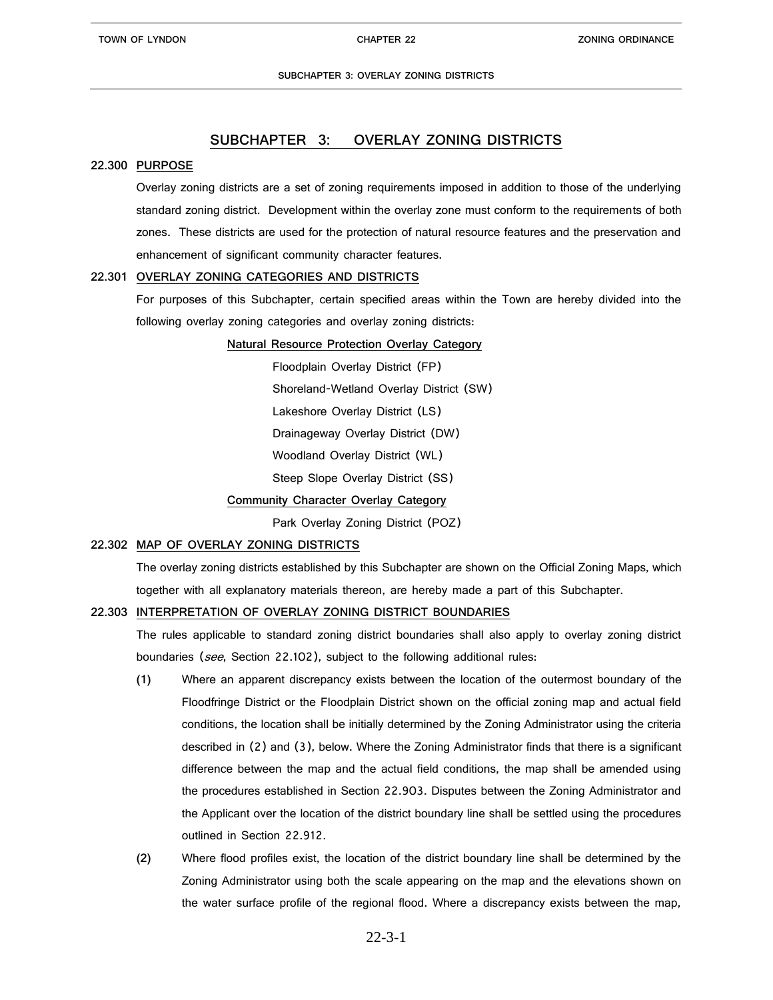#### **22.300 PURPOSE**

Overlay zoning districts are a set of zoning requirements imposed in addition to those of the underlying standard zoning district. Development within the overlay zone must conform to the requirements of both zones. These districts are used for the protection of natural resource features and the preservation and enhancement of significant community character features.

#### **22.301 OVERLAY ZONING CATEGORIES AND DISTRICTS**

For purposes of this Subchapter, certain specified areas within the Town are hereby divided into the following overlay zoning categories and overlay zoning districts:

### **Natural Resource Protection Overlay Category**

Floodplain Overlay District (FP) Shoreland-Wetland Overlay District (SW) Lakeshore Overlay District (LS) Drainageway Overlay District (DW) Woodland Overlay District (WL) Steep Slope Overlay District (SS)

## **Community Character Overlay Category**

Park Overlay Zoning District (POZ)

### **22.302 MAP OF OVERLAY ZONING DISTRICTS**

The overlay zoning districts established by this Subchapter are shown on the Official Zoning Maps, which together with all explanatory materials thereon, are hereby made a part of this Subchapter.

#### **22.303 INTERPRETATION OF OVERLAY ZONING DISTRICT BOUNDARIES**

The rules applicable to standard zoning district boundaries shall also apply to overlay zoning district boundaries (see, Section 22.102), subject to the following additional rules:

- **(1)** Where an apparent discrepancy exists between the location of the outermost boundary of the Floodfringe District or the Floodplain District shown on the official zoning map and actual field conditions, the location shall be initially determined by the Zoning Administrator using the criteria described in (2) and (3), below. Where the Zoning Administrator finds that there is a significant difference between the map and the actual field conditions, the map shall be amended using the procedures established in Section 22.903. Disputes between the Zoning Administrator and the Applicant over the location of the district boundary line shall be settled using the procedures outlined in Section 22.912.
- **(2)** Where flood profiles exist, the location of the district boundary line shall be determined by the Zoning Administrator using both the scale appearing on the map and the elevations shown on the water surface profile of the regional flood. Where a discrepancy exists between the map,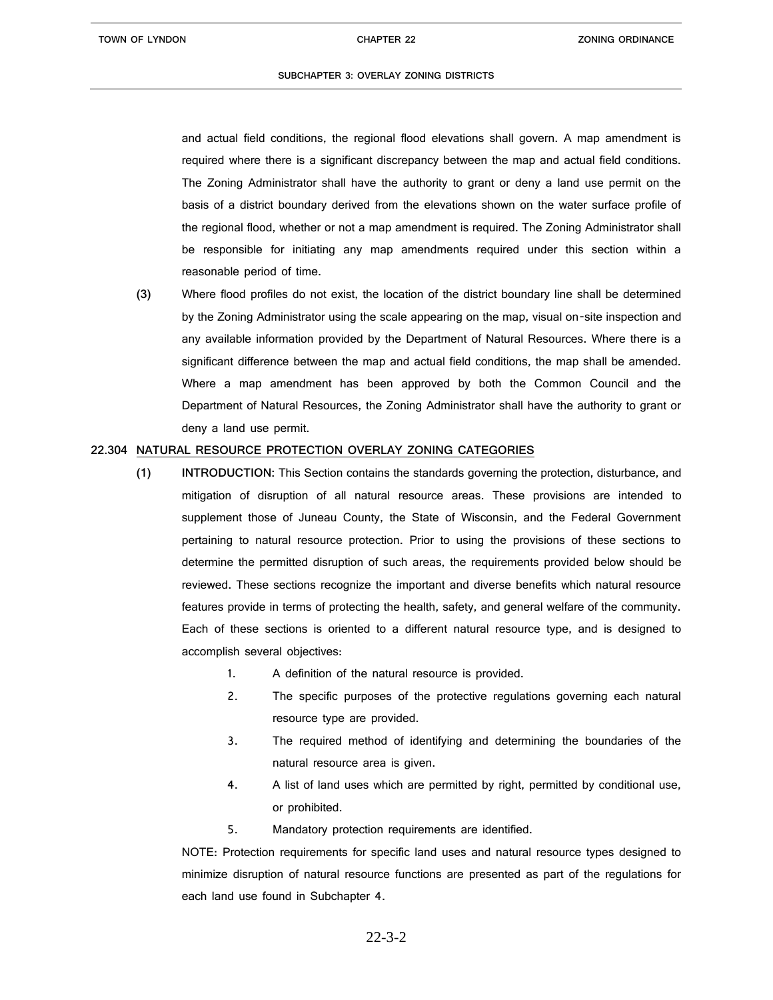and actual field conditions, the regional flood elevations shall govern. A map amendment is required where there is a significant discrepancy between the map and actual field conditions. The Zoning Administrator shall have the authority to grant or deny a land use permit on the basis of a district boundary derived from the elevations shown on the water surface profile of the regional flood, whether or not a map amendment is required. The Zoning Administrator shall be responsible for initiating any map amendments required under this section within a reasonable period of time.

**(3)** Where flood profiles do not exist, the location of the district boundary line shall be determined by the Zoning Administrator using the scale appearing on the map, visual on-site inspection and any available information provided by the Department of Natural Resources. Where there is a significant difference between the map and actual field conditions, the map shall be amended. Where a map amendment has been approved by both the Common Council and the Department of Natural Resources, the Zoning Administrator shall have the authority to grant or deny a land use permit.

#### **22.304 NATURAL RESOURCE PROTECTION OVERLAY ZONING CATEGORIES**

- **(1) INTRODUCTION:** This Section contains the standards governing the protection, disturbance, and mitigation of disruption of all natural resource areas. These provisions are intended to supplement those of Juneau County, the State of Wisconsin, and the Federal Government pertaining to natural resource protection. Prior to using the provisions of these sections to determine the permitted disruption of such areas, the requirements provided below should be reviewed. These sections recognize the important and diverse benefits which natural resource features provide in terms of protecting the health, safety, and general welfare of the community. Each of these sections is oriented to a different natural resource type, and is designed to accomplish several objectives:
	- 1. A definition of the natural resource is provided.
	- 2. The specific purposes of the protective regulations governing each natural resource type are provided.
	- 3. The required method of identifying and determining the boundaries of the natural resource area is given.
	- 4. A list of land uses which are permitted by right, permitted by conditional use, or prohibited.
	- 5. Mandatory protection requirements are identified.

NOTE: Protection requirements for specific land uses and natural resource types designed to minimize disruption of natural resource functions are presented as part of the regulations for each land use found in Subchapter 4.

# 22-3-2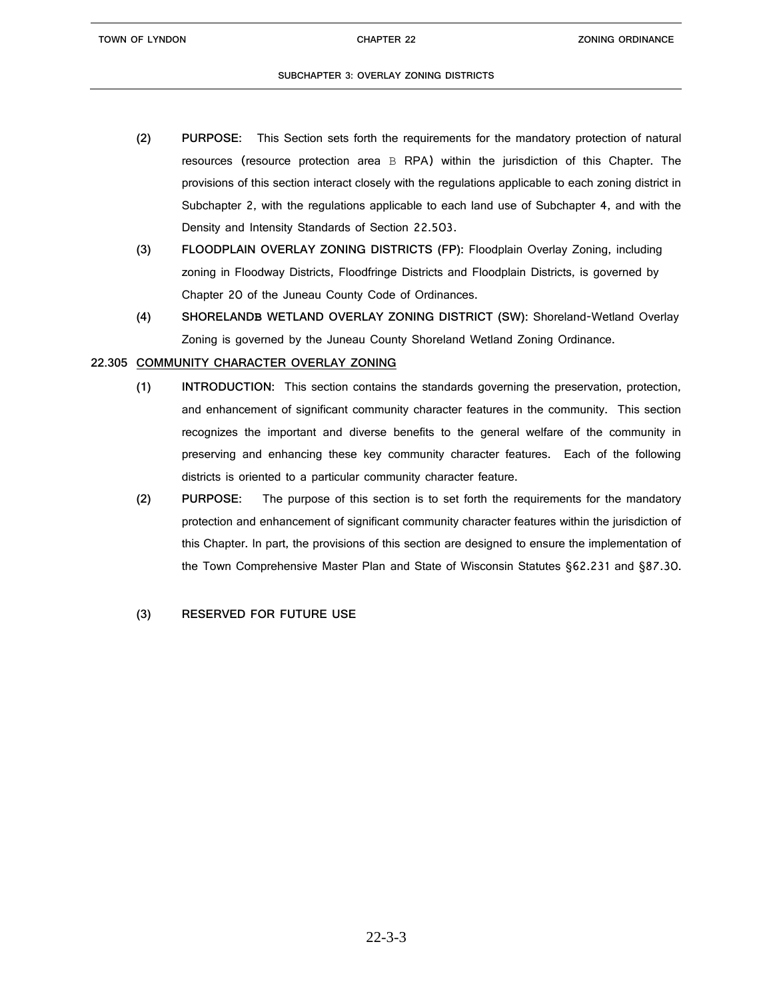- **(2) PURPOSE:** This Section sets forth the requirements for the mandatory protection of natural resources (resource protection area B RPA) within the jurisdiction of this Chapter. The provisions of this section interact closely with the regulations applicable to each zoning district in Subchapter 2, with the regulations applicable to each land use of Subchapter 4, and with the Density and Intensity Standards of Section 22.503.
- **(3) FLOODPLAIN OVERLAY ZONING DISTRICTS (FP):** Floodplain Overlay Zoning, including zoning in Floodway Districts, Floodfringe Districts and Floodplain Districts, is governed by Chapter 20 of the Juneau County Code of Ordinances.
- **(4) SHORELANDB WETLAND OVERLAY ZONING DISTRICT (SW):** Shoreland-Wetland Overlay Zoning is governed by the Juneau County Shoreland Wetland Zoning Ordinance.

### **22.305 COMMUNITY CHARACTER OVERLAY ZONING**

- **(1) INTRODUCTION:** This section contains the standards governing the preservation, protection, and enhancement of significant community character features in the community. This section recognizes the important and diverse benefits to the general welfare of the community in preserving and enhancing these key community character features. Each of the following districts is oriented to a particular community character feature.
- **(2) PURPOSE:** The purpose of this section is to set forth the requirements for the mandatory protection and enhancement of significant community character features within the jurisdiction of this Chapter. In part, the provisions of this section are designed to ensure the implementation of the Town Comprehensive Master Plan and State of Wisconsin Statutes §62.231 and §87.30.
- **(3) RESERVED FOR FUTURE USE**